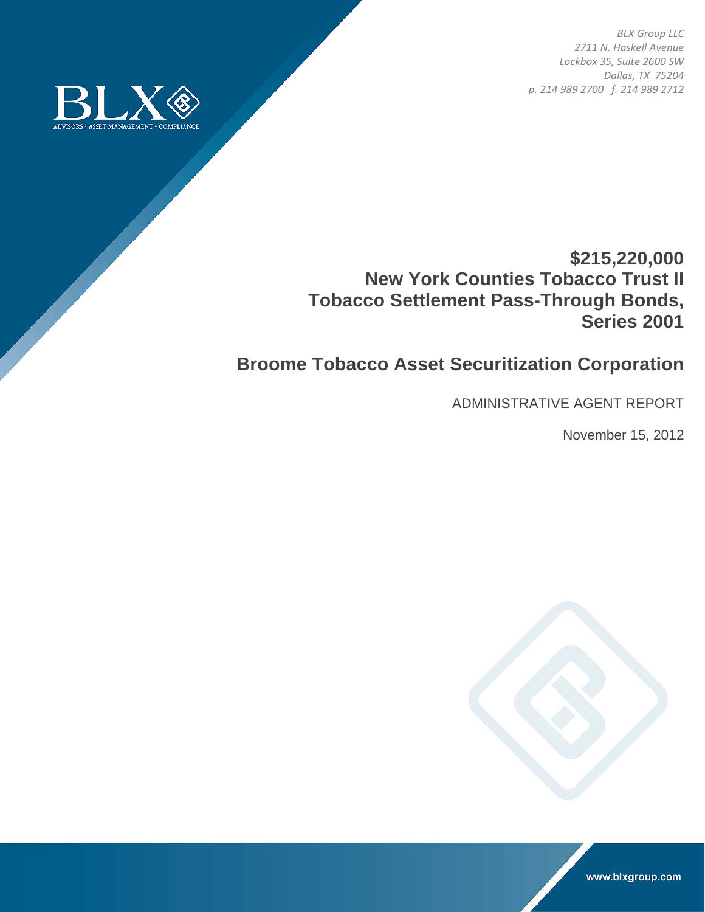*BLX Group LLC 2711 N. Haskell Avenue Lockbox 35, Suite 2600 SW Dallas, TX 75204 p. 214 989 2700 f. 214 989 2712*



## **\$215,220,000 New York Counties Tobacco Trust II Tobacco Settlement Pass-Through Bonds, Series 2001**

# **Broome Tobacco Asset Securitization Corporation**

ADMINISTRATIVE AGENT REPORT

November 15, 2012



www.blxgroup.com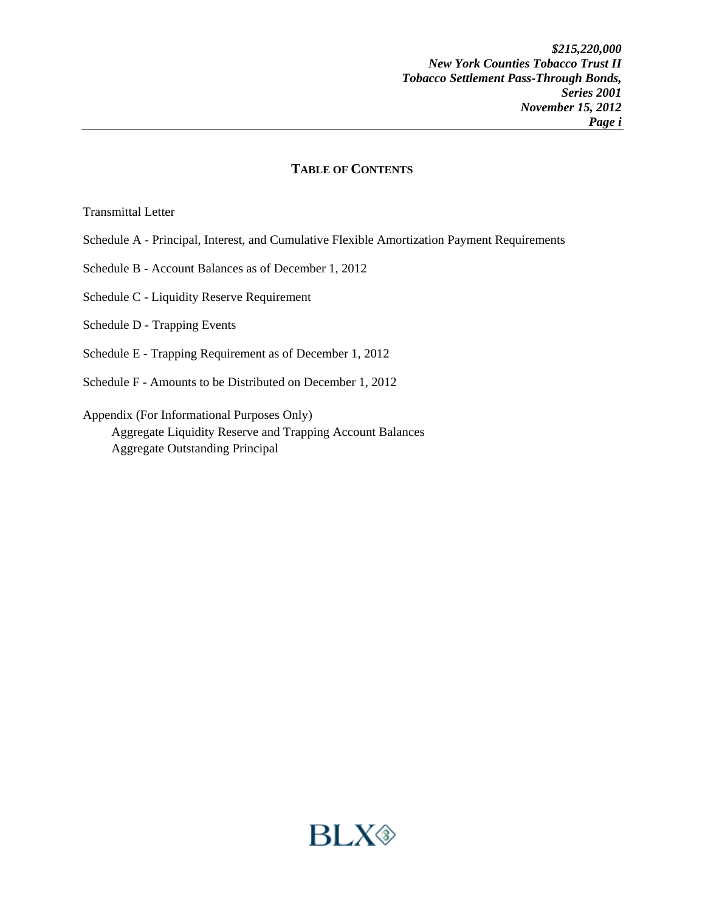## **TABLE OF CONTENTS**

Transmittal Letter

- Schedule A Principal, Interest, and Cumulative Flexible Amortization Payment Requirements
- Schedule B Account Balances as of December 1, 2012

Schedule C - Liquidity Reserve Requirement

Schedule D - Trapping Events

- Schedule E Trapping Requirement as of December 1, 2012
- Schedule F Amounts to be Distributed on December 1, 2012

Appendix (For Informational Purposes Only) Aggregate Liquidity Reserve and Trapping Account Balances Aggregate Outstanding Principal

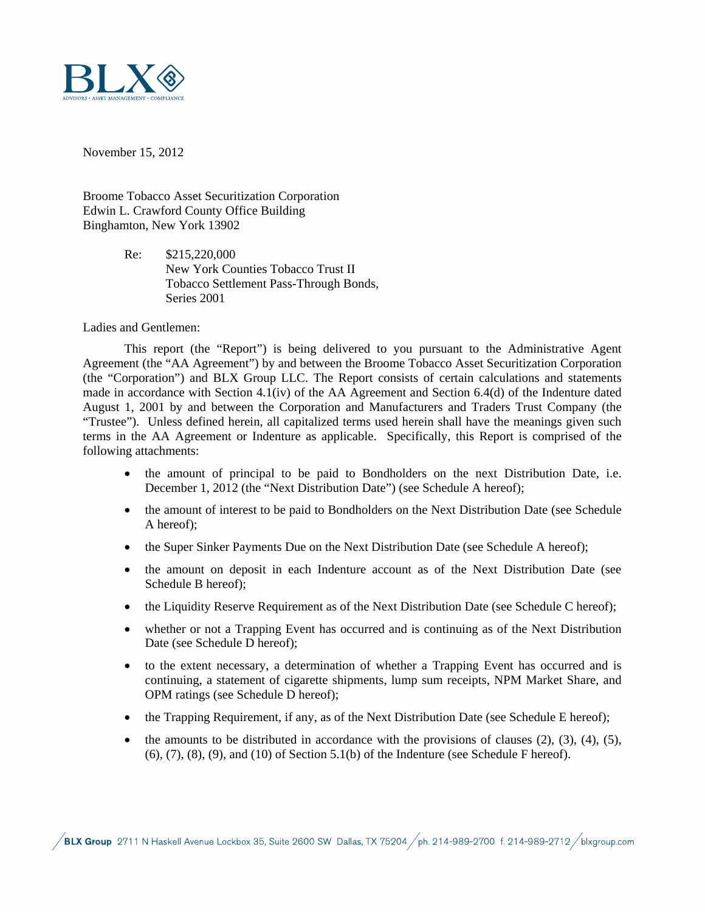

November 15, 2012

Broome Tobacco Asset Securitization Corporation Edwin L. Crawford County Office Building Binghamton, New York 13902

> Re: \$215,220,000 New York Counties Tobacco Trust II Tobacco Settlement Pass-Through Bonds, Series 2001

Ladies and Gentlemen:

 This report (the "Report") is being delivered to you pursuant to the Administrative Agent Agreement (the "AA Agreement") by and between the Broome Tobacco Asset Securitization Corporation (the "Corporation") and BLX Group LLC. The Report consists of certain calculations and statements made in accordance with Section 4.1(iv) of the AA Agreement and Section 6.4(d) of the Indenture dated August 1, 2001 by and between the Corporation and Manufacturers and Traders Trust Company (the "Trustee"). Unless defined herein, all capitalized terms used herein shall have the meanings given such terms in the AA Agreement or Indenture as applicable. Specifically, this Report is comprised of the following attachments:

- the amount of principal to be paid to Bondholders on the next Distribution Date, i.e. December 1, 2012 (the "Next Distribution Date") (see Schedule A hereof);
- the amount of interest to be paid to Bondholders on the Next Distribution Date (see Schedule A hereof);
- the Super Sinker Payments Due on the Next Distribution Date (see Schedule A hereof);
- the amount on deposit in each Indenture account as of the Next Distribution Date (see Schedule B hereof);
- the Liquidity Reserve Requirement as of the Next Distribution Date (see Schedule C hereof);
- whether or not a Trapping Event has occurred and is continuing as of the Next Distribution Date (see Schedule D hereof);
- to the extent necessary, a determination of whether a Trapping Event has occurred and is continuing, a statement of cigarette shipments, lump sum receipts, NPM Market Share, and OPM ratings (see Schedule D hereof);
- the Trapping Requirement, if any, as of the Next Distribution Date (see Schedule E hereof);
- $\bullet$  the amounts to be distributed in accordance with the provisions of clauses (2), (3), (4), (5), (6), (7), (8), (9), and (10) of Section 5.1(b) of the Indenture (see Schedule F hereof).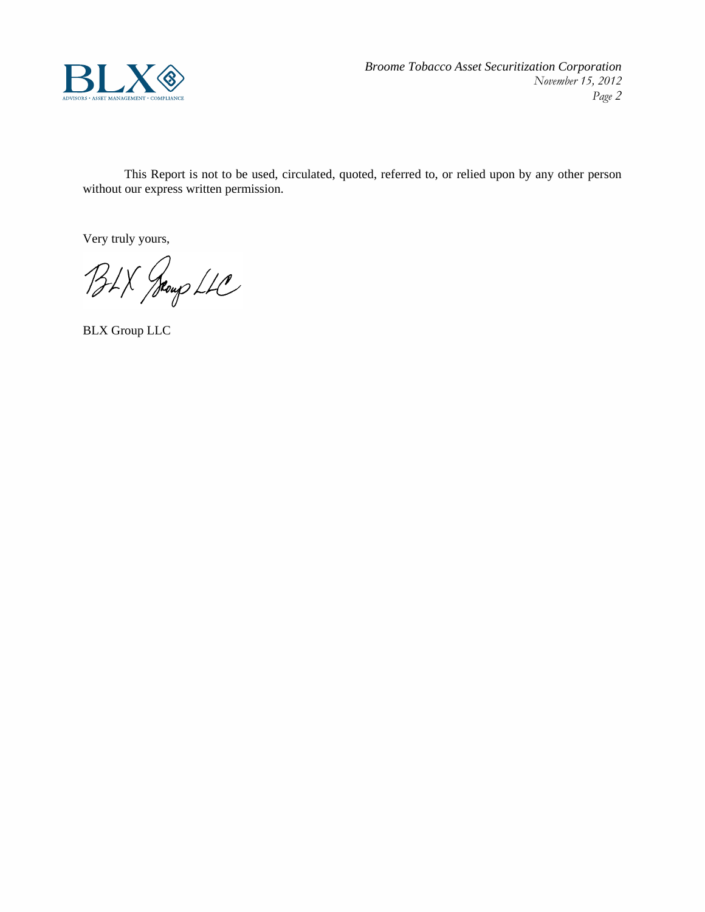

 This Report is not to be used, circulated, quoted, referred to, or relied upon by any other person without our express written permission.

Very truly yours,

BLX Jeoup LLC

BLX Group LLC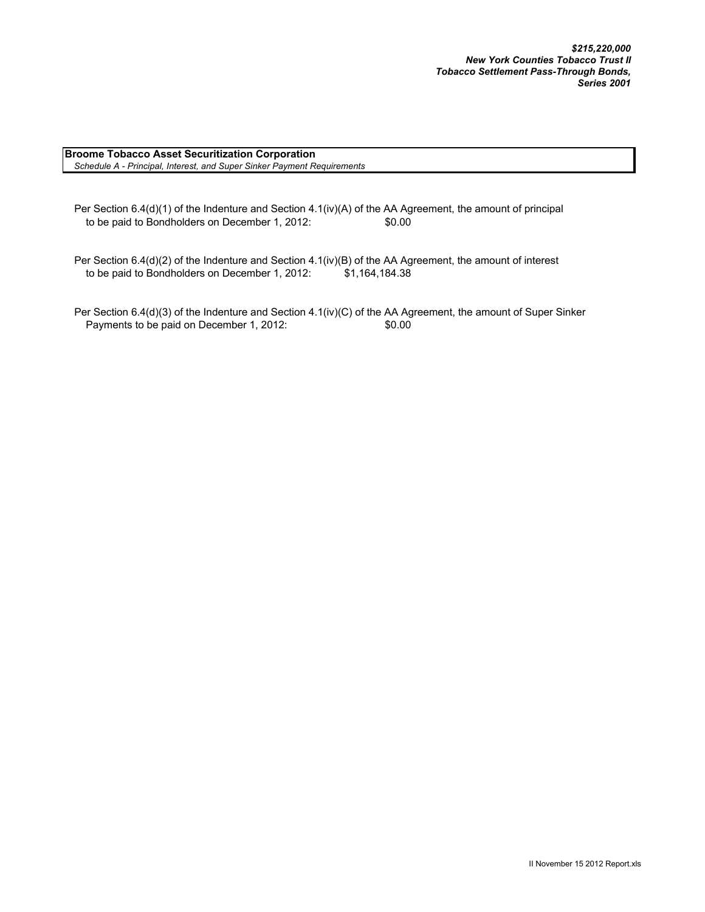**Broome Tobacco Asset Securitization Corporation** *Schedule A - Principal, Interest, and Super Sinker Payment Requirements*

| Per Section 6.4(d)(1) of the Indenture and Section 4.1(iv)(A) of the AA Agreement, the amount of principal |        |  |
|------------------------------------------------------------------------------------------------------------|--------|--|
| to be paid to Bondholders on December 1, 2012:                                                             | \$0.00 |  |

|                                                | Per Section 6.4(d)(2) of the Indenture and Section 4.1(iv)(B) of the AA Agreement, the amount of interest |  |
|------------------------------------------------|-----------------------------------------------------------------------------------------------------------|--|
| to be paid to Bondholders on December 1, 2012: | \$1,164,184.38                                                                                            |  |

Per Section 6.4(d)(3) of the Indenture and Section 4.1(iv)(C) of the AA Agreement, the amount of Super Sinker Payments to be paid on December 1, 2012: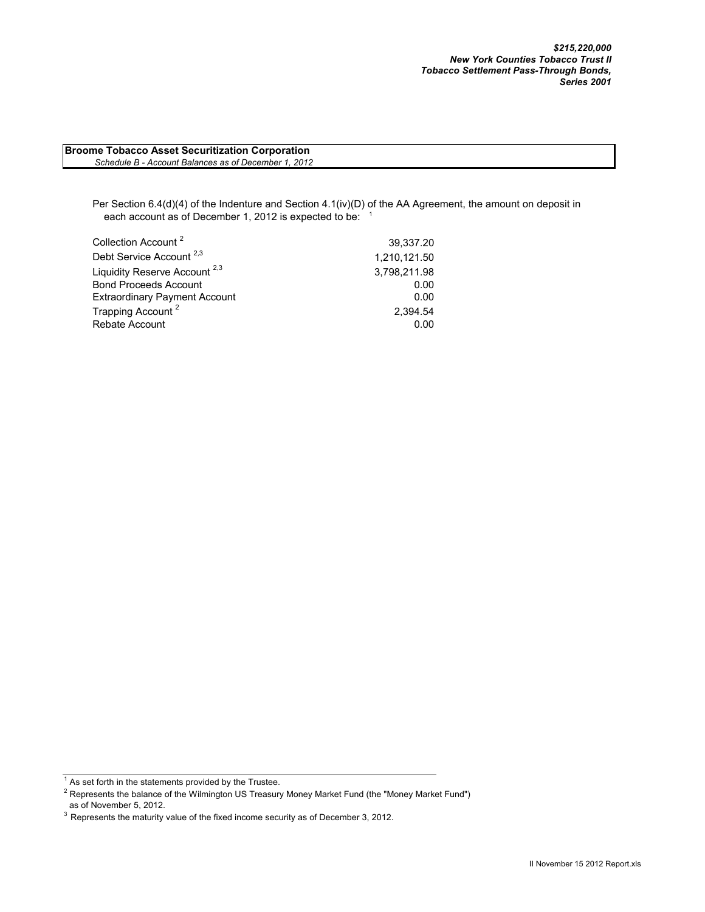**Broome Tobacco Asset Securitization Corporation**  *Schedule B - Account Balances as of December 1, 2012*

> Per Section 6.4(d)(4) of the Indenture and Section 4.1(iv)(D) of the AA Agreement, the amount on deposit in each account as of December 1, 2012 is expected to be: <sup>1</sup>

| Collection Account <sup>2</sup>          | 39,337.20    |
|------------------------------------------|--------------|
| Debt Service Account <sup>2,3</sup>      | 1,210,121.50 |
| Liquidity Reserve Account <sup>2,3</sup> | 3.798.211.98 |
| <b>Bond Proceeds Account</b>             | 0.00         |
| <b>Extraordinary Payment Account</b>     | 0.00         |
| Trapping Account <sup>2</sup>            | 2,394.54     |
| Rebate Account                           | 0.00         |

 $1$  As set forth in the statements provided by the Trustee.

<sup>&</sup>lt;sup>2</sup> Represents the balance of the Wilmington US Treasury Money Market Fund (the "Money Market Fund") as of November 5, 2012.

 $3$  Represents the maturity value of the fixed income security as of December 3, 2012.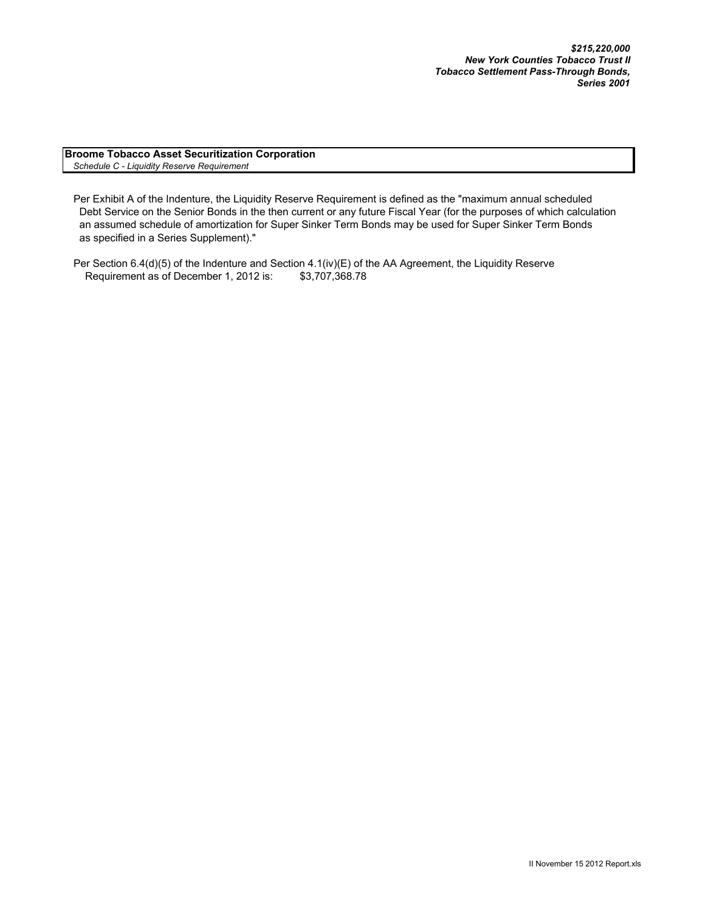**Broome Tobacco Asset Securitization Corporation** *Schedule C - Liquidity Reserve Requirement*

Per Exhibit A of the Indenture, the Liquidity Reserve Requirement is defined as the "maximum annual scheduled Debt Service on the Senior Bonds in the then current or any future Fiscal Year (for the purposes of which calculation an assumed schedule of amortization for Super Sinker Term Bonds may be used for Super Sinker Term Bonds as specified in a Series Supplement)."

Per Section 6.4(d)(5) of the Indenture and Section 4.1(iv)(E) of the AA Agreement, the Liquidity Reserve Requirement as of December 1, 2012 is: \$3,707,368.78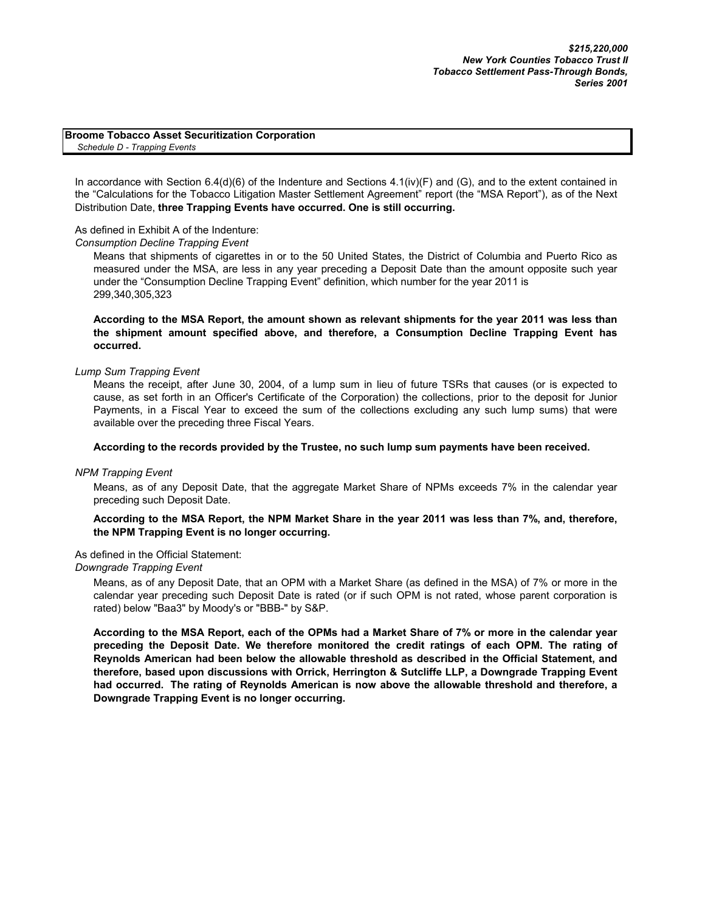#### **Broome Tobacco Asset Securitization Corporation**  *Schedule D - Trapping Events*

In accordance with Section  $6.4(d)(6)$  of the Indenture and Sections  $4.1(iv)(F)$  and (G), and to the extent contained in the "Calculations for the Tobacco Litigation Master Settlement Agreement" report (the "MSA Report"), as of the Next Distribution Date, **three Trapping Events have occurred. One is still occurring.**

## As defined in Exhibit A of the Indenture:

## *Consumption Decline Trapping Event*

Means that shipments of cigarettes in or to the 50 United States, the District of Columbia and Puerto Rico as measured under the MSA, are less in any year preceding a Deposit Date than the amount opposite such year under the "Consumption Decline Trapping Event" definition, which number for the year 2011 is 299,340,305,323

## According to the MSA Report, the amount shown as relevant shipments for the year 2011 was less than **the shipment amount specified above, and therefore, a Consumption Decline Trapping Event has occurred.**

## *Lump Sum Trapping Event*

Means the receipt, after June 30, 2004, of a lump sum in lieu of future TSRs that causes (or is expected to cause, as set forth in an Officer's Certificate of the Corporation) the collections, prior to the deposit for Junior Payments, in a Fiscal Year to exceed the sum of the collections excluding any such lump sums) that were available over the preceding three Fiscal Years.

## **According to the records provided by the Trustee, no such lump sum payments have been received.**

#### *NPM Trapping Event*

Means, as of any Deposit Date, that the aggregate Market Share of NPMs exceeds 7% in the calendar year preceding such Deposit Date.

## According to the MSA Report, the NPM Market Share in the year 2011 was less than 7%, and, therefore, **the NPM Trapping Event is no longer occurring.**

As defined in the Official Statement:

*Downgrade Trapping Event*

Means, as of any Deposit Date, that an OPM with a Market Share (as defined in the MSA) of 7% or more in the calendar year preceding such Deposit Date is rated (or if such OPM is not rated, whose parent corporation is rated) below "Baa3" by Moody's or "BBB-" by S&P.

According to the MSA Report, each of the OPMs had a Market Share of 7% or more in the calendar year **preceding the Deposit Date. We therefore monitored the credit ratings of each OPM. The rating of Reynolds American had been below the allowable threshold as described in the Official Statement, and therefore, based upon discussions with Orrick, Herrington & Sutcliffe LLP, a Downgrade Trapping Event had occurred. The rating of Reynolds American is now above the allowable threshold and therefore, a Downgrade Trapping Event is no longer occurring.**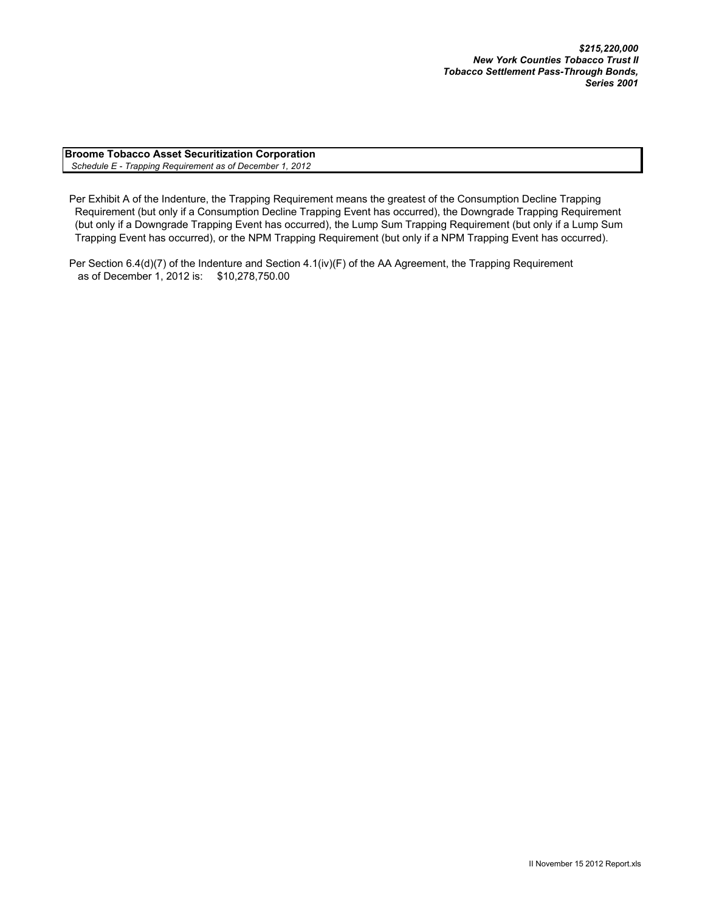**Broome Tobacco Asset Securitization Corporation**  *Schedule E - Trapping Requirement as of December 1, 2012*

Per Exhibit A of the Indenture, the Trapping Requirement means the greatest of the Consumption Decline Trapping Requirement (but only if a Consumption Decline Trapping Event has occurred), the Downgrade Trapping Requirement (but only if a Downgrade Trapping Event has occurred), the Lump Sum Trapping Requirement (but only if a Lump Sum Trapping Event has occurred), or the NPM Trapping Requirement (but only if a NPM Trapping Event has occurred).

Per Section 6.4(d)(7) of the Indenture and Section 4.1(iv)(F) of the AA Agreement, the Trapping Requirement as of December 1, 2012 is: \$10,278,750.00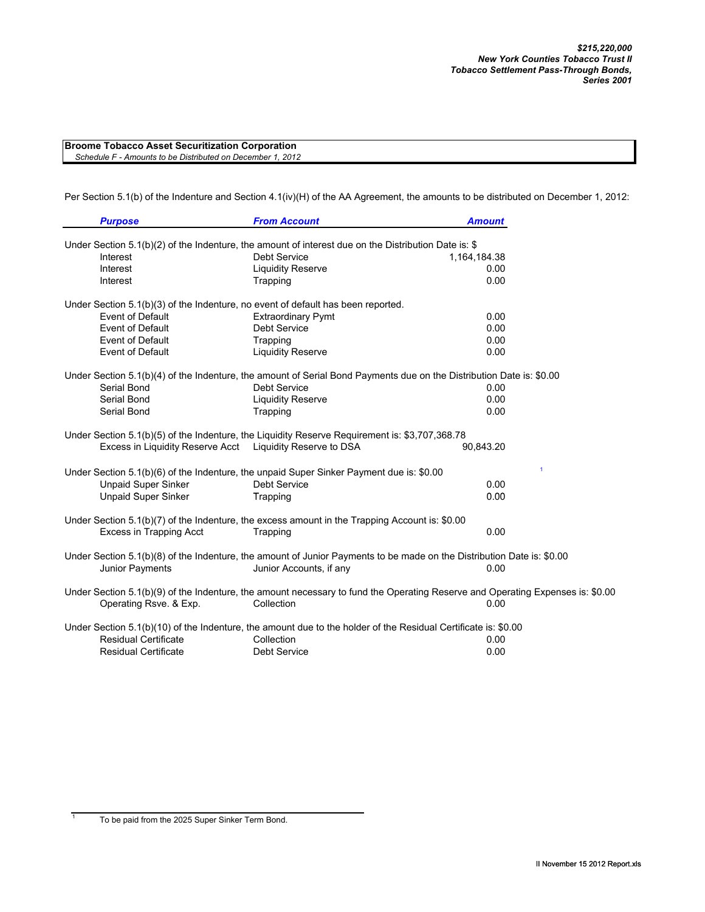| <b>Broome Tobacco Asset Securitization Corporation</b>     |  |
|------------------------------------------------------------|--|
| Schedule F - Amounts to be Distributed on December 1, 2012 |  |
|                                                            |  |

Per Section 5.1(b) of the Indenture and Section 4.1(iv)(H) of the AA Agreement, the amounts to be distributed on December 1, 2012:

| <b>Purpose</b>              | <b>From Account</b>                                                                                                    | <b>Amount</b>                                                                                                                  |
|-----------------------------|------------------------------------------------------------------------------------------------------------------------|--------------------------------------------------------------------------------------------------------------------------------|
|                             | Under Section 5.1(b)(2) of the Indenture, the amount of interest due on the Distribution Date is: $$$                  |                                                                                                                                |
| Interest                    | <b>Debt Service</b>                                                                                                    | 1,164,184.38                                                                                                                   |
| Interest                    | <b>Liquidity Reserve</b>                                                                                               | 0.00                                                                                                                           |
| Interest                    | Trapping                                                                                                               | 0.00                                                                                                                           |
|                             | Under Section 5.1(b)(3) of the Indenture, no event of default has been reported.                                       |                                                                                                                                |
| <b>Event of Default</b>     | <b>Extraordinary Pymt</b>                                                                                              | 0.00                                                                                                                           |
| Event of Default            | <b>Debt Service</b>                                                                                                    | 0.00                                                                                                                           |
| Event of Default            | Trapping                                                                                                               | 0.00                                                                                                                           |
| <b>Event of Default</b>     | <b>Liquidity Reserve</b>                                                                                               | 0.00                                                                                                                           |
|                             | Under Section 5.1(b)(4) of the Indenture, the amount of Serial Bond Payments due on the Distribution Date is: \$0.00   |                                                                                                                                |
| Serial Bond                 | Debt Service                                                                                                           | 0.00                                                                                                                           |
| Serial Bond                 | <b>Liquidity Reserve</b>                                                                                               | 0.00                                                                                                                           |
| Serial Bond                 | Trapping                                                                                                               | 0.00                                                                                                                           |
|                             | Under Section 5.1(b)(5) of the Indenture, the Liquidity Reserve Requirement is: \$3,707,368.78                         |                                                                                                                                |
|                             | Excess in Liquidity Reserve Acct Liquidity Reserve to DSA                                                              | 90,843.20                                                                                                                      |
|                             | Under Section 5.1(b)(6) of the Indenture, the unpaid Super Sinker Payment due is: \$0.00                               | $\mathbf{1}$                                                                                                                   |
| <b>Unpaid Super Sinker</b>  | <b>Debt Service</b>                                                                                                    | 0.00                                                                                                                           |
| <b>Unpaid Super Sinker</b>  | Trapping                                                                                                               | 0.00                                                                                                                           |
|                             | Under Section 5.1(b)(7) of the Indenture, the excess amount in the Trapping Account is: \$0.00                         |                                                                                                                                |
| Excess in Trapping Acct     | Trapping                                                                                                               | 0.00                                                                                                                           |
|                             | Under Section 5.1(b)(8) of the Indenture, the amount of Junior Payments to be made on the Distribution Date is: \$0.00 |                                                                                                                                |
| <b>Junior Payments</b>      | Junior Accounts, if any                                                                                                | 0.00                                                                                                                           |
|                             |                                                                                                                        | Under Section 5.1(b)(9) of the Indenture, the amount necessary to fund the Operating Reserve and Operating Expenses is: \$0.00 |
| Operating Rsve. & Exp.      | Collection                                                                                                             | 0.00                                                                                                                           |
|                             | Under Section 5.1(b)(10) of the Indenture, the amount due to the holder of the Residual Certificate is: \$0.00         |                                                                                                                                |
| <b>Residual Certificate</b> | Collection                                                                                                             | 0.00                                                                                                                           |
| <b>Residual Certificate</b> | <b>Debt Service</b>                                                                                                    | 0.00                                                                                                                           |
|                             |                                                                                                                        |                                                                                                                                |

To be paid from the 2025 Super Sinker Term Bond.

1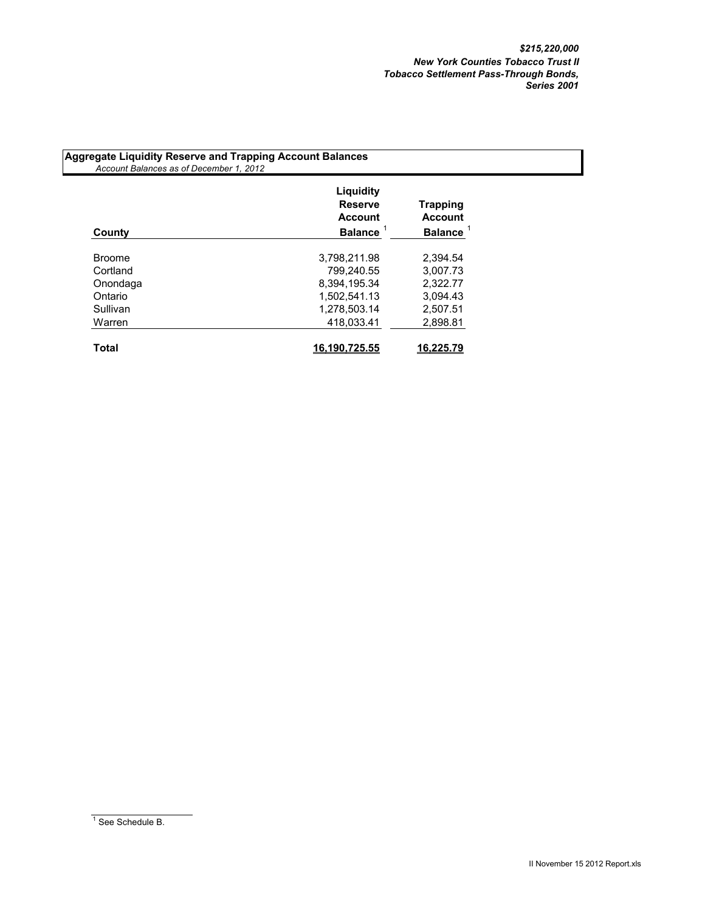|               | Liquidity<br><b>Reserve</b><br><b>Account</b> | <b>Trapping</b><br><b>Account</b> |
|---------------|-----------------------------------------------|-----------------------------------|
| County        | <b>Balance</b>                                | <b>Balance</b>                    |
| <b>Broome</b> | 3.798.211.98                                  | 2,394.54                          |
| Cortland      | 799,240.55                                    | 3.007.73                          |
| Onondaga      | 8.394.195.34                                  | 2,322.77                          |
| Ontario       | 1.502.541.13                                  | 3.094.43                          |
| Sullivan      | 1,278,503.14                                  | 2.507.51                          |
| Warren        | 418.033.41                                    | 2.898.81                          |

<sup>&</sup>lt;sup>1</sup> See Schedule B.